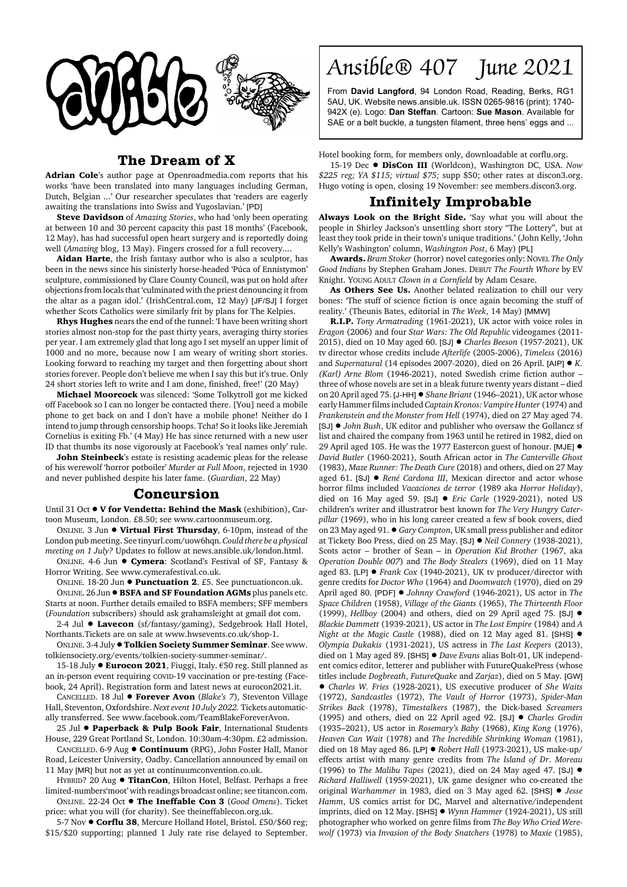

## **The Dream of X**

**Adrian Cole**'s author page at Openroadmedia.com reports that his works 'have been translated into many languages including German, Dutch, Belgian ...' Our researcher speculates that 'readers are eagerly awaiting the translations into Swiss and Yugoslavian.' [PD]

**Steve Davidson** of *Amazing Stories*, who had 'only been operating at between 10 and 30 percent capacity this past 18 months' (Facebook, 12 May), has had successful open heart surgery and is reportedly doing well (*Amazing* blog, 13 May). Fingers crossed for a full recovery....

**Aidan Harte**, the Irish fantasy author who is also a sculptor, has been in the news since his sinisterly horse-headed 'Púca of Ennistymon' sculpture, commissioned by Clare County Council, was put on hold after objections from locals that 'culminated with the priest denouncing it from the altar as a pagan idol.' (IrishCentral.com, 12 May) [JF/SJ] I forget whether Scots Catholics were similarly frit by plans for The Kelpies.

**Rhys Hughes** nears the end of the tunnel: 'I have been writing short stories almost non-stop for the past thirty years, averaging thirty stories per year. I am extremely glad that long ago I set myself an upper limit of 1000 and no more, because now I am weary of writing short stories. Looking forward to reaching my target and then forgetting about short stories forever. People don't believe me when I say this but it's true. Only 24 short stories left to write and I am done, finished, free!' (20 May)

**Michael Moorcock** was silenced: 'Some Tolkytroll got me kicked off Facebook so I can no longer be contacted there. [You] need a mobile phone to get back on and I don't have a mobile phone! Neither do I intend to jump through censorship hoops. Tcha! So it looks like Jeremiah Cornelius is exiting Fb.' (4 May) He has since returned with a new user ID that thumbs its nose vigorously at Facebook's 'real names only' rule.

**John Steinbeck**'s estate is resisting academic pleas for the release of his werewolf 'horror potboiler' *Murder at Full Moon*, rejected in 1930 and never published despite his later fame. (*Guardian*, 22 May)

## **Concursion**

Until 31 Oct  $\bullet$  V for Vendetta: Behind the Mask (exhibition), Cartoon Museum, London. £8.50; see www.cartoonmuseum.org.

ONLINE. 3 Jun ! **Virtual First Thursday**, 6-10pm, instead of the London pub meeting. See tinyurl.com/uow6hqn. *Could there be a physical meeting on 1 July?* Updates to follow at news.ansible.uk/london.html.

ONLINE. 4-6 Jun ! **Cymera**: Scotland's Festival of SF, Fantasy & Horror Writing. See www.cymerafestival.co.uk.

ONLINE. 18-20 Jun ! **Punctuation 2**. £5. See punctuationcon.uk. ONLINE. 26 Jun . BSFA and SF Foundation AGMs plus panels etc. Starts at noon. Further details emailed to BSFA members; SFF members (*Foundation* subscribers) should ask grahamsleight at gmail dot com.

2-4 Jul  $\bullet$  Lavecon (sf/fantasy/gaming), Sedgebrook Hall Hotel, Northants.Tickets are on sale at www.hwsevents.co.uk/shop-1.

ONLINE. 3-4 July !**Tolkien Society Summer Seminar**. See www. tolkiensociety.org/events/tolkien-society-summer-seminar/.

15-18 July ● Eurocon 2021, Fiuggi, Italy. €50 reg. Still planned as an in-person event requiring COVID-19 vaccination or pre-testing (Facebook, 24 April). Registration form and latest news at eurocon2021.it.

CANCELLED. 18 Jul ! **Forever Avon** (*Blake's 7*), Steventon Village Hall, Steventon, Oxfordshire. *Next event 10 July 2022.* Tickets automatically transferred. See www.facebook.com/TeamBlakeForeverAvon.

25 Jul ! **Paperback & Pulp Book Fair**, International Students House, 229 Great Portland St, London. 10:30am-4:30pm. £2 admission.

CANCELLED. 6-9 Aug ! **Continuum** (RPG), John Foster Hall, Manor Road, Leicester University, Oadby. Cancellation announced by email on

11 May [MR] but not as yet at continuumconvention.co.uk. HYBRID? 20 Aug  $\bullet$  **TitanCon**, Hilton Hotel, Belfast. Perhaps a free

limited-numbers'moot' with readings broadcast online; see titancon.com. ONLINE. 22-24 Oct ! **The Ineffable Con 3** (*Good Omens*). Ticket

price: what you will (for charity). See theineffablecon.org.uk.

5-7 Nov  $\bullet$  **Corflu 38**, Mercure Holland Hotel, Bristol. £50/\$60 reg; \$15/\$20 supporting; planned 1 July rate rise delayed to September. Ansible® 407 June 2021

From **David Langford**, 94 London Road, Reading, Berks, RG1 5AU, UK. Website news.ansible.uk. ISSN 0265-9816 (print); 1740- 942X (e). Logo: **Dan Steffan**. Cartoon: **Sue Mason**. Available for SAE or a belt buckle, a tungsten filament, three hens' eggs and ...

Hotel booking form, for members only, downloadable at corflu.org.

15-19 Dec ! **DisCon III** (Worldcon), Washington DC, USA. *Now \$225 reg; YA \$115; virtual \$75;* supp \$50; other rates at discon3.org. Hugo voting is open, closing 19 November: see members.discon3.org.

## **Infinitely Improbable**

**Always Look on the Bright Side.** 'Say what you will about the people in Shirley Jackson's unsettling short story "The Lottery", but at least they took pride in their town's unique traditions.' (John Kelly, 'John Kelly's Washington' column, *Washington Post*, 6 May) [PL]

**Awards.** *Bram Stoker* (horror) novel categories only: NOVEL *The Only Good Indians* by Stephen Graham Jones. DEBUT *The Fourth Whore* by EV Knight. YOUNG ADULT *Clown in a Cornfield* by Adam Cesare.

**As Others See Us.** Another belated realization to chill our very bones: 'The stuff of science fiction is once again becoming the stuff of reality.' (Theunis Bates, editorial in *The Week*, 14 May) [MMW]

**R.I.P.** *Tony Armatrading* (1961-2021), UK actor with voice roles in *Eragon* (2006) and four *Star Wars: The Old Republic* videogames (2011- 2015), died on 10 May aged 60. [SJ] ! *Charles Beeson* (1957-2021), UK tv director whose credits include *Afterlife* (2005-2006), *Timeless* (2016) and *Supernatural* (14 episodes 2007-2020), died on 26 April. [AIP] ● *K*. *(Karl) Arne Blom* (1946-2021), noted Swedish crime fiction author – three of whose novels are set in a bleak future twenty years distant – died on 20 April aged 75. [J-HH] ! *Shane Briant* (1946–2021), UK actor whose early Hammer films included *Captain Kronos: Vampire Hunter* (1974) and *Frankenstein and the Monster from Hell* (1974), died on 27 May aged 74. [SJ] ! *John Bush*, UK editor and publisher who oversaw the Gollancz sf list and chaired the company from 1963 until he retired in 1982, died on 29 April aged 105. He was the 1977 Eastercon guest of honour. [MJE]  $\bullet$ *David Butler* (1960-2021), South African actor in *The Canterville Ghost* (1983), *Maze Runner: The Death Cure* (2018) and others, died on 27 May aged 61. [SJ] ● *René Cardona III*, Mexican director and actor whose horror films included *Vacaciones de terror* (1989 aka *Horror Holiday*), died on 16 May aged 59. [SJ] ! *Eric Carle* (1929-2021), noted US children's writer and illustratror best known for *The Very Hungry Caterpillar* (1969), who in his long career created a few sf book covers, died on 23 May aged 91. ! *Gary Compton*, UK small press publisher and editor at Tickety Boo Press, died on 25 May. [SJ] ! *Neil Connery* (1938-2021), Scots actor – brother of Sean – in *Operation Kid Brother* (1967, aka *Operation Double 007*) and *The Body Stealers* (1969), died on 11 May aged 83. [LP] ● *Frank Cox* (1940-2021), UK tv producer/director with genre credits for *Doctor Who* (1964) and *Doomwatch* (1970), died on 29 April aged 80. [PDF] ! *Johnny Crawford* (1946-2021), US actor in *The Space Children* (1958), *Village of the Giants* (1965), *The Thirteenth Floor* (1999), *Hellboy* (2004) and others, died on 29 April aged 75. [SJ] ! *Blackie Dammett* (1939-2021), US actor in *The Lost Empire* (1984) and *A Night at the Magic Castle* (1988), died on 12 May aged 81. [SHS]  $\bullet$ *Olympia Dukakis* (1931-2021), US actress in *The Last Keepers* (2013), died on 1 May aged 89. [SHS] ! *Dave Evans* alias Bolt-01, UK independent comics editor, letterer and publisher with FutureQuakePress (whose titles include *Dogbreath*, *FutureQuake* and *Zarjaz*), died on 5 May. [GW] ! *Charles W. Fries* (1928-2021), US executive producer of *She Waits* (1972), *Sandcastles* (1972), *The Vault of Horror* (1973), *Spider-Man Strikes Back* (1978), *Timestalkers* (1987), the Dick-based *Screamers* (1995) and others, died on 22 April aged 92. [SJ] ! *Charles Grodin* (1935–2021), US actor in *Rosemary's Baby* (1968), *King Kong* (1976), *Heaven Can Wait* (1978) and *The Incredible Shrinking Woman* (1981), died on 18 May aged 86. [LP] ! *Robert Hall* (1973-2021), US make-up/ effects artist with many genre credits from *The Island of Dr. Moreau* (1996) to *The Malibu Tapes* (2021), died on 24 May aged 47. [SJ] ! *Richard Halliwell* (1959-2021), UK game designer who co-created the original *Warhammer* in 1983, died on 3 May aged 62. [SHS] ! *Jesse Hamm*, US comics artist for DC, Marvel and alternative/independent imprints, died on 12 May. [SHS] ! *Wynn Hammer* (1924-2021), US still photographer who worked on genre films from *The Boy Who Cried Werewolf* (1973) via *Invasion of the Body Snatchers* (1978) to *Maxie* (1985),